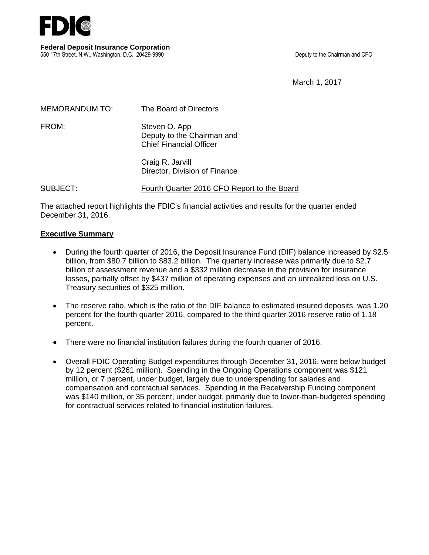

March 1, 2017

| <b>MEMORANDUM TO:</b> | The Board of Directors                                                        |
|-----------------------|-------------------------------------------------------------------------------|
| FROM:                 | Steven O. App<br>Deputy to the Chairman and<br><b>Chief Financial Officer</b> |
|                       | Craig R. Jarvill<br>Director, Division of Finance                             |

SUBJECT: Fourth Quarter 2016 CFO Report to the Board

The attached report highlights the FDIC's financial activities and results for the quarter ended December 31, 2016.

#### **Executive Summary**

- During the fourth quarter of 2016, the Deposit Insurance Fund (DIF) balance increased by \$2.5 billion, from \$80.7 billion to \$83.2 billion. The quarterly increase was primarily due to \$2.7 billion of assessment revenue and a \$332 million decrease in the provision for insurance losses, partially offset by \$437 million of operating expenses and an unrealized loss on U.S. Treasury securities of \$325 million.
- The reserve ratio, which is the ratio of the DIF balance to estimated insured deposits, was 1.20 percent for the fourth quarter 2016, compared to the third quarter 2016 reserve ratio of 1.18 percent.
- There were no financial institution failures during the fourth quarter of 2016.
- Overall FDIC Operating Budget expenditures through December 31, 2016, were below budget by 12 percent (\$261 million). Spending in the Ongoing Operations component was \$121 million, or 7 percent, under budget, largely due to underspending for salaries and compensation and contractual services. Spending in the Receivership Funding component was \$140 million, or 35 percent, under budget, primarily due to lower-than-budgeted spending for contractual services related to financial institution failures.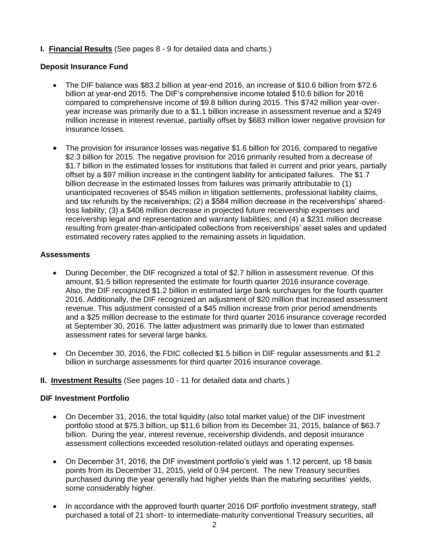**I. Financial Results** (See pages 8 - 9 for detailed data and charts.)

# **Deposit Insurance Fund**

- The DIF balance was \$83.2 billion at year-end 2016, an increase of \$10.6 billion from \$72.6 billion at year-end 2015. The DIF's comprehensive income totaled \$10.6 billion for 2016 compared to comprehensive income of \$9.8 billion during 2015. This \$742 million year-overyear increase was primarily due to a \$1.1 billion increase in assessment revenue and a \$249 million increase in interest revenue, partially offset by \$683 million lower negative provision for insurance losses.
- The provision for insurance losses was negative \$1.6 billion for 2016, compared to negative \$2.3 billion for 2015. The negative provision for 2016 primarily resulted from a decrease of \$1.7 billion in the estimated losses for institutions that failed in current and prior years, partially offset by a \$97 million increase in the contingent liability for anticipated failures. The \$1.7 billion decrease in the estimated losses from failures was primarily attributable to (1) unanticipated recoveries of \$545 million in litigation settlements, professional liability claims, and tax refunds by the receiverships; (2) a \$584 million decrease in the receiverships' sharedloss liability; (3) a \$406 million decrease in projected future receivership expenses and receivership legal and representation and warranty liabilities; and (4) a \$231 million decrease resulting from greater-than-anticipated collections from receiverships' asset sales and updated estimated recovery rates applied to the remaining assets in liquidation.

#### **Assessments**

- During December, the DIF recognized a total of \$2.7 billion in assessment revenue. Of this amount, \$1.5 billion represented the estimate for fourth quarter 2016 insurance coverage. Also, the DIF recognized \$1.2 billion in estimated large bank surcharges for the fourth quarter 2016. Additionally, the DIF recognized an adjustment of \$20 million that increased assessment revenue. This adjustment consisted of a \$45 million increase from prior period amendments and a \$25 million decrease to the estimate for third quarter 2016 insurance coverage recorded at September 30, 2016. The latter adjustment was primarily due to lower than estimated assessment rates for several large banks.
- On December 30, 2016, the FDIC collected \$1.5 billion in DIF regular assessments and \$1.2 billion in surcharge assessments for third quarter 2016 insurance coverage.
- **II. Investment Results** (See pages 10 11 for detailed data and charts.)

#### **DIF Investment Portfolio**

- On December 31, 2016, the total liquidity (also total market value) of the DIF investment portfolio stood at \$75.3 billion, up \$11.6 billion from its December 31, 2015, balance of \$63.7 billion. During the year, interest revenue, receivership dividends, and deposit insurance assessment collections exceeded resolution-related outlays and operating expenses.
- On December 31, 2016, the DIF investment portfolio's yield was 1.12 percent, up 18 basis points from its December 31, 2015, yield of 0.94 percent. The new Treasury securities purchased during the year generally had higher yields than the maturing securities' yields, some considerably higher.
- In accordance with the approved fourth quarter 2016 DIF portfolio investment strategy, staff purchased a total of 21 short- to intermediate-maturity conventional Treasury securities, all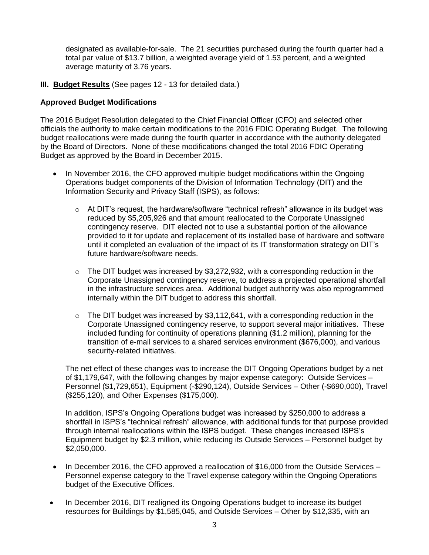designated as available-for-sale. The 21 securities purchased during the fourth quarter had a total par value of \$13.7 billion, a weighted average yield of 1.53 percent, and a weighted average maturity of 3.76 years.

**III. Budget Results** (See pages 12 - 13 for detailed data.)

### **Approved Budget Modifications**

The 2016 Budget Resolution delegated to the Chief Financial Officer (CFO) and selected other officials the authority to make certain modifications to the 2016 FDIC Operating Budget. The following budget reallocations were made during the fourth quarter in accordance with the authority delegated by the Board of Directors. None of these modifications changed the total 2016 FDIC Operating Budget as approved by the Board in December 2015.

- In November 2016, the CFO approved multiple budget modifications within the Ongoing Operations budget components of the Division of Information Technology (DIT) and the Information Security and Privacy Staff (ISPS), as follows:
	- $\circ$  At DIT's request, the hardware/software "technical refresh" allowance in its budget was reduced by \$5,205,926 and that amount reallocated to the Corporate Unassigned contingency reserve. DIT elected not to use a substantial portion of the allowance provided to it for update and replacement of its installed base of hardware and software until it completed an evaluation of the impact of its IT transformation strategy on DIT's future hardware/software needs.
	- $\circ$  The DIT budget was increased by \$3,272,932, with a corresponding reduction in the Corporate Unassigned contingency reserve, to address a projected operational shortfall in the infrastructure services area. Additional budget authority was also reprogrammed internally within the DIT budget to address this shortfall.
	- $\circ$  The DIT budget was increased by \$3,112,641, with a corresponding reduction in the Corporate Unassigned contingency reserve, to support several major initiatives. These included funding for continuity of operations planning (\$1.2 million), planning for the transition of e-mail services to a shared services environment (\$676,000), and various security-related initiatives.

The net effect of these changes was to increase the DIT Ongoing Operations budget by a net of \$1,179,647, with the following changes by major expense category: Outside Services – Personnel (\$1,729,651), Equipment (-\$290,124), Outside Services – Other (-\$690,000), Travel (\$255,120), and Other Expenses (\$175,000).

In addition, ISPS's Ongoing Operations budget was increased by \$250,000 to address a shortfall in ISPS's "technical refresh" allowance, with additional funds for that purpose provided through internal reallocations within the ISPS budget. These changes increased ISPS's Equipment budget by \$2.3 million, while reducing its Outside Services – Personnel budget by \$2,050,000.

- In December 2016, the CFO approved a reallocation of \$16,000 from the Outside Services Personnel expense category to the Travel expense category within the Ongoing Operations budget of the Executive Offices.
- In December 2016, DIT realigned its Ongoing Operations budget to increase its budget resources for Buildings by \$1,585,045, and Outside Services – Other by \$12,335, with an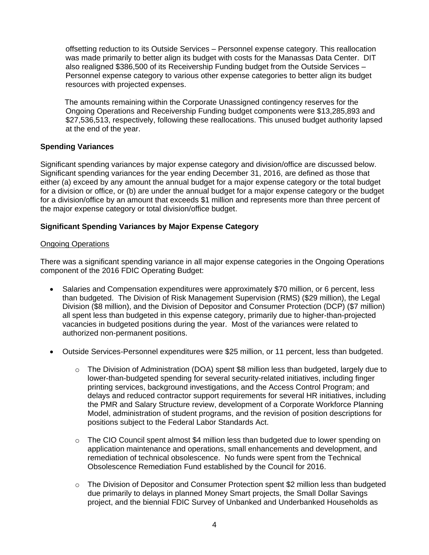offsetting reduction to its Outside Services – Personnel expense category. This reallocation was made primarily to better align its budget with costs for the Manassas Data Center. DIT also realigned \$386,500 of its Receivership Funding budget from the Outside Services – Personnel expense category to various other expense categories to better align its budget resources with projected expenses.

 The amounts remaining within the Corporate Unassigned contingency reserves for the Ongoing Operations and Receivership Funding budget components were \$13,285,893 and \$27,536,513, respectively, following these reallocations. This unused budget authority lapsed at the end of the year.

#### **Spending Variances**

Significant spending variances by major expense category and division/office are discussed below. Significant spending variances for the year ending December 31, 2016, are defined as those that either (a) exceed by any amount the annual budget for a major expense category or the total budget for a division or office, or (b) are under the annual budget for a major expense category or the budget for a division/office by an amount that exceeds \$1 million and represents more than three percent of the major expense category or total division/office budget.

# **Significant Spending Variances by Major Expense Category**

#### Ongoing Operations

There was a significant spending variance in all major expense categories in the Ongoing Operations component of the 2016 FDIC Operating Budget:

- Salaries and Compensation expenditures were approximately \$70 million, or 6 percent, less than budgeted. The Division of Risk Management Supervision (RMS) (\$29 million), the Legal Division (\$8 million), and the Division of Depositor and Consumer Protection (DCP) (\$7 million) all spent less than budgeted in this expense category, primarily due to higher-than-projected vacancies in budgeted positions during the year. Most of the variances were related to authorized non-permanent positions.
- Outside Services-Personnel expenditures were \$25 million, or 11 percent, less than budgeted.
	- $\circ$  The Division of Administration (DOA) spent \$8 million less than budgeted, largely due to lower-than-budgeted spending for several security-related initiatives, including finger printing services, background investigations, and the Access Control Program; and delays and reduced contractor support requirements for several HR initiatives, including the PMR and Salary Structure review, development of a Corporate Workforce Planning Model, administration of student programs, and the revision of position descriptions for positions subject to the Federal Labor Standards Act.
	- $\circ$  The CIO Council spent almost \$4 million less than budgeted due to lower spending on application maintenance and operations, small enhancements and development, and remediation of technical obsolescence. No funds were spent from the Technical Obsolescence Remediation Fund established by the Council for 2016.
	- $\circ$  The Division of Depositor and Consumer Protection spent \$2 million less than budgeted due primarily to delays in planned Money Smart projects, the Small Dollar Savings project, and the biennial FDIC Survey of Unbanked and Underbanked Households as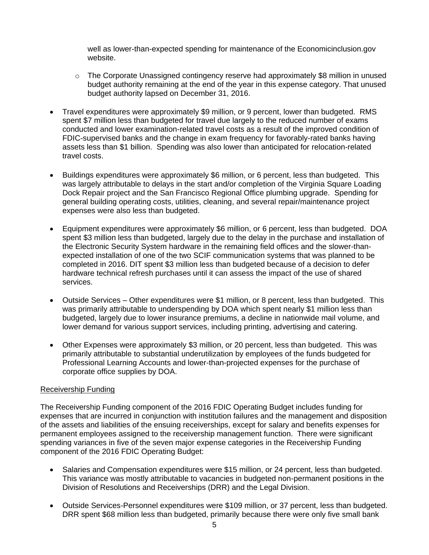well as lower-than-expected spending for maintenance of the Economicinclusion.gov website.

- $\circ$  The Corporate Unassigned contingency reserve had approximately \$8 million in unused budget authority remaining at the end of the year in this expense category. That unused budget authority lapsed on December 31, 2016.
- Travel expenditures were approximately \$9 million, or 9 percent, lower than budgeted. RMS spent \$7 million less than budgeted for travel due largely to the reduced number of exams conducted and lower examination-related travel costs as a result of the improved condition of FDIC-supervised banks and the change in exam frequency for favorably-rated banks having assets less than \$1 billion. Spending was also lower than anticipated for relocation-related travel costs.
- Buildings expenditures were approximately \$6 million, or 6 percent, less than budgeted. This was largely attributable to delays in the start and/or completion of the Virginia Square Loading Dock Repair project and the San Francisco Regional Office plumbing upgrade. Spending for general building operating costs, utilities, cleaning, and several repair/maintenance project expenses were also less than budgeted.
- Equipment expenditures were approximately \$6 million, or 6 percent, less than budgeted. DOA spent \$3 million less than budgeted, largely due to the delay in the purchase and installation of the Electronic Security System hardware in the remaining field offices and the slower-thanexpected installation of one of the two SCIF communication systems that was planned to be completed in 2016. DIT spent \$3 million less than budgeted because of a decision to defer hardware technical refresh purchases until it can assess the impact of the use of shared services.
- Outside Services Other expenditures were \$1 million, or 8 percent, less than budgeted. This was primarily attributable to underspending by DOA which spent nearly \$1 million less than budgeted, largely due to lower insurance premiums, a decline in nationwide mail volume, and lower demand for various support services, including printing, advertising and catering.
- Other Expenses were approximately \$3 million, or 20 percent, less than budgeted. This was primarily attributable to substantial underutilization by employees of the funds budgeted for Professional Learning Accounts and lower-than-projected expenses for the purchase of corporate office supplies by DOA.

#### Receivership Funding

The Receivership Funding component of the 2016 FDIC Operating Budget includes funding for expenses that are incurred in conjunction with institution failures and the management and disposition of the assets and liabilities of the ensuing receiverships, except for salary and benefits expenses for permanent employees assigned to the receivership management function. There were significant spending variances in five of the seven major expense categories in the Receivership Funding component of the 2016 FDIC Operating Budget:

- Salaries and Compensation expenditures were \$15 million, or 24 percent, less than budgeted. This variance was mostly attributable to vacancies in budgeted non-permanent positions in the Division of Resolutions and Receiverships (DRR) and the Legal Division.
- Outside Services-Personnel expenditures were \$109 million, or 37 percent, less than budgeted. DRR spent \$68 million less than budgeted, primarily because there were only five small bank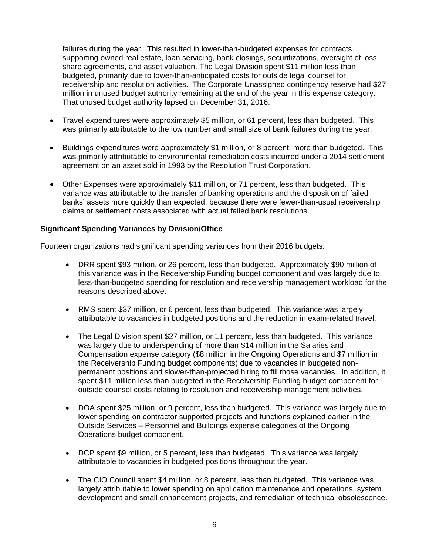failures during the year. This resulted in lower-than-budgeted expenses for contracts supporting owned real estate, loan servicing, bank closings, securitizations, oversight of loss share agreements, and asset valuation. The Legal Division spent \$11 million less than budgeted, primarily due to lower-than-anticipated costs for outside legal counsel for receivership and resolution activities. The Corporate Unassigned contingency reserve had \$27 million in unused budget authority remaining at the end of the year in this expense category. That unused budget authority lapsed on December 31, 2016.

- Travel expenditures were approximately \$5 million, or 61 percent, less than budgeted. This was primarily attributable to the low number and small size of bank failures during the year.
- Buildings expenditures were approximately \$1 million, or 8 percent, more than budgeted. This was primarily attributable to environmental remediation costs incurred under a 2014 settlement agreement on an asset sold in 1993 by the Resolution Trust Corporation.
- Other Expenses were approximately \$11 million, or 71 percent, less than budgeted. This variance was attributable to the transfer of banking operations and the disposition of failed banks' assets more quickly than expected, because there were fewer-than-usual receivership claims or settlement costs associated with actual failed bank resolutions.

#### **Significant Spending Variances by Division/Office**

Fourteen organizations had significant spending variances from their 2016 budgets:

- DRR spent \$93 million, or 26 percent, less than budgeted. Approximately \$90 million of this variance was in the Receivership Funding budget component and was largely due to less-than-budgeted spending for resolution and receivership management workload for the reasons described above.
- RMS spent \$37 million, or 6 percent, less than budgeted. This variance was largely attributable to vacancies in budgeted positions and the reduction in exam-related travel.
- The Legal Division spent \$27 million, or 11 percent, less than budgeted. This variance was largely due to underspending of more than \$14 million in the Salaries and Compensation expense category (\$8 million in the Ongoing Operations and \$7 million in the Receivership Funding budget components) due to vacancies in budgeted nonpermanent positions and slower-than-projected hiring to fill those vacancies. In addition, it spent \$11 million less than budgeted in the Receivership Funding budget component for outside counsel costs relating to resolution and receivership management activities.
- DOA spent \$25 million, or 9 percent, less than budgeted. This variance was largely due to lower spending on contractor supported projects and functions explained earlier in the Outside Services – Personnel and Buildings expense categories of the Ongoing Operations budget component.
- DCP spent \$9 million, or 5 percent, less than budgeted. This variance was largely attributable to vacancies in budgeted positions throughout the year.
- The CIO Council spent \$4 million, or 8 percent, less than budgeted. This variance was largely attributable to lower spending on application maintenance and operations, system development and small enhancement projects, and remediation of technical obsolescence.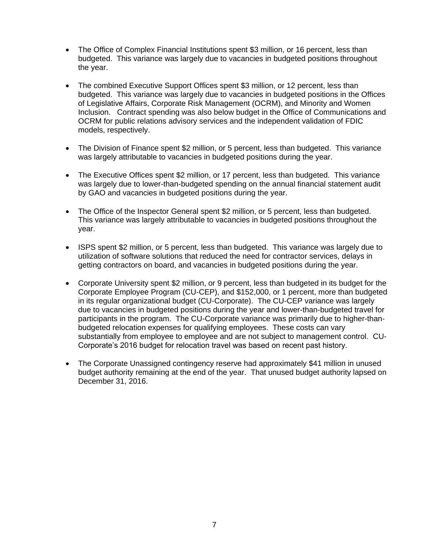- The Office of Complex Financial Institutions spent \$3 million, or 16 percent, less than budgeted. This variance was largely due to vacancies in budgeted positions throughout the year.
- The combined Executive Support Offices spent \$3 million, or 12 percent, less than budgeted. This variance was largely due to vacancies in budgeted positions in the Offices of Legislative Affairs, Corporate Risk Management (OCRM), and Minority and Women Inclusion. Contract spending was also below budget in the Office of Communications and OCRM for public relations advisory services and the independent validation of FDIC models, respectively.
- The Division of Finance spent \$2 million, or 5 percent, less than budgeted. This variance was largely attributable to vacancies in budgeted positions during the year.
- The Executive Offices spent \$2 million, or 17 percent, less than budgeted. This variance was largely due to lower-than-budgeted spending on the annual financial statement audit by GAO and vacancies in budgeted positions during the year.
- The Office of the Inspector General spent \$2 million, or 5 percent, less than budgeted. This variance was largely attributable to vacancies in budgeted positions throughout the year.
- ISPS spent \$2 million, or 5 percent, less than budgeted. This variance was largely due to utilization of software solutions that reduced the need for contractor services, delays in getting contractors on board, and vacancies in budgeted positions during the year.
- Corporate University spent \$2 million, or 9 percent, less than budgeted in its budget for the Corporate Employee Program (CU-CEP), and \$152,000, or 1 percent, more than budgeted in its regular organizational budget (CU-Corporate). The CU-CEP variance was largely due to vacancies in budgeted positions during the year and lower-than-budgeted travel for participants in the program. The CU-Corporate variance was primarily due to higher-thanbudgeted relocation expenses for qualifying employees. These costs can vary substantially from employee to employee and are not subject to management control. CU-Corporate's 2016 budget for relocation travel was based on recent past history.
- The Corporate Unassigned contingency reserve had approximately \$41 million in unused budget authority remaining at the end of the year. That unused budget authority lapsed on December 31, 2016.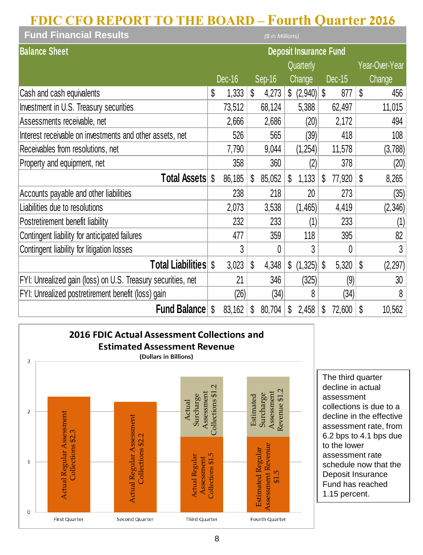# **FDIC CFO REPORT TO THE BOARD – Fourth Quarter 2016**

| <b>Fund Financial Results</b><br>(\$ in Millions)            |                               |        |    |          |    |                                     |    |        |    |                |
|--------------------------------------------------------------|-------------------------------|--------|----|----------|----|-------------------------------------|----|--------|----|----------------|
| <b>Balance Sheet</b>                                         | <b>Deposit Insurance Fund</b> |        |    |          |    |                                     |    |        |    |                |
|                                                              |                               |        |    |          |    | Quarterly                           |    |        |    | Year-Over-Year |
|                                                              |                               | Dec-16 |    | $Sep-16$ |    | <b>Change</b>                       |    | Dec-15 |    | Change         |
| Cash and cash equivalents                                    | \$                            | 1,333  | \$ | 4,273    |    | $\frac{1}{2}$ (2,940) $\frac{1}{2}$ |    | 877    | \$ | 456            |
| Investment in U.S. Treasury securities                       |                               | 73,512 |    | 68,124   |    | 5,388                               |    | 62,497 |    | 11,015         |
| Assessments receivable, net                                  |                               | 2,666  |    | 2,686    |    | (20)                                |    | 2,172  |    | 494            |
| Interest receivable on investments and other assets, net     |                               | 526    |    | 565      |    | (39)                                |    | 418    |    | 108            |
| Receivables from resolutions, net                            |                               | 7,790  |    | 9,044    |    | (1,254)                             |    | 11,578 |    | (3,788)        |
| Property and equipment, net                                  |                               | 358    |    | 360      |    | (2)                                 |    | 378    |    | (20)           |
| <b>Total Assets \$</b>                                       |                               | 86,185 | \$ | 85,052   | \$ | 1,133                               | \$ | 77,920 | \$ | 8,265          |
| Accounts payable and other liabilities                       |                               | 238    |    | 218      |    | 20                                  |    | 273    |    | (35)           |
| Liabilities due to resolutions                               |                               | 2,073  |    | 3,538    |    | (1,465)                             |    | 4,419  |    | (2,346)        |
| Postretirement benefit liability                             |                               | 232    |    | 233      |    | (1)                                 |    | 233    |    | (1)            |
| Contingent liability for anticipated failures                |                               | 477    |    | 359      |    | 118                                 |    | 395    |    | 82             |
| Contingent liability for litigation losses                   |                               | 3      |    | 0        |    | 3                                   |    | 0      |    | 3              |
| <b>Total Liabilities \$</b>                                  |                               | 3,023  | \$ | 4,348    | \$ | (1,325)                             | \$ | 5,320  | \$ | (2, 297)       |
| FYI: Unrealized gain (loss) on U.S. Treasury securities, net |                               | 21     |    | 346      |    | (325)                               |    | (9)    |    | 30             |
| FYI: Unrealized postretirement benefit (loss) gain           |                               | (26)   |    | (34)     |    | 8                                   |    | (34)   |    | 8              |
| <b>Fund Balance</b>                                          | \$                            | 83,162 | \$ | 80,704   | \$ | 2,458                               | \$ | 72,600 | \$ | 10,562         |



The third quarter decline in actual assessment collections is due to a decline in the effective assessment rate, from 6.2 bps to 4.1 bps due to the lower assessment rate schedule now that the Deposit Insurance Fund has reached 1.15 percent.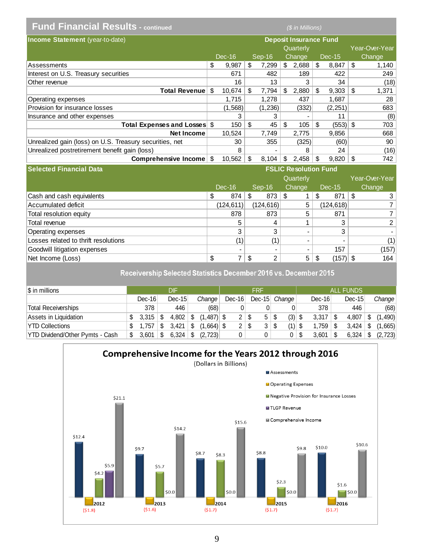| <b>Fund Financial Results - continued</b>               | (\$ in Millions) |         |    |         |    |                               |                  |    |                |
|---------------------------------------------------------|------------------|---------|----|---------|----|-------------------------------|------------------|----|----------------|
| <b>Income Statement</b> (year-to-date)                  |                  |         |    |         |    | <b>Deposit Insurance Fund</b> |                  |    |                |
|                                                         |                  |         |    |         |    | Quarterly                     |                  |    | Year-Over-Year |
|                                                         |                  | Dec-16  |    | Sep-16  |    | Change                        | Dec-15           |    | Change         |
| Assessments                                             | \$               | 9.987   | \$ | 7.299   |    | \$2,688                       | \$<br>8,847      | \$ | 1,140          |
| Interest on U.S. Treasury securities                    |                  | 671     |    | 482     |    | 189                           | 422              |    | 249            |
| Other revenue                                           |                  | 16      |    | 13      |    | 3                             | 34               |    | (18)           |
| Total Revenue                                           | - \$             | 10.674  | \$ | 7.794   | \$ | 2,880                         | \$<br>9,303      | \$ | 1,371          |
| Operating expenses                                      |                  | 1,715   |    | 1,278   |    | 437                           | 1,687            |    | 28             |
| Provision for insurance losses                          |                  | (1,568) |    | (1,236) |    | (332)                         | (2,251)          |    | 683            |
| Insurance and other expenses                            |                  | 3       |    | 3       |    |                               | 11               |    | (8)            |
| Total Expenses and Losses \$                            |                  | 150     | \$ | 45      | \$ | 105                           | \$<br>$(553)$ \$ |    | 703            |
| Net Income                                              |                  | 10,524  |    | 7,749   |    | 2,775                         | 9,856            |    | 668            |
| Unrealized gain (loss) on U.S. Treasury securities, net |                  | 30      |    | 355     |    | (325)                         | (60)             |    | 90             |
| Unrealized postretirement benefit gain (loss)           |                  | 8       |    |         |    | 8                             | 24               |    | (16)           |
| Comprehensive Income                                    | S                | 10,562  | \$ | 8,104   | \$ | 2,458                         | \$<br>9,820      | \$ | 742            |

| <b>Selected Financial Data</b>       | <b>FSLIC Resolution Fund</b> |           |    |                          |               |   |            |  |                |
|--------------------------------------|------------------------------|-----------|----|--------------------------|---------------|---|------------|--|----------------|
|                                      |                              |           |    |                          | Quarterly     |   |            |  | Year-Over-Year |
|                                      |                              | Dec-16    |    | Sep-16                   | <b>Change</b> |   | Dec-15     |  | Change         |
| Cash and cash equivalents            | S                            | 874       | \$ | 873                      | \$            | S | 871        |  | 3              |
| Accumulated deficit                  |                              | (124,611) |    | (124, 616)               | 5             |   | (124,618)  |  |                |
| Total resolution equity              |                              | 878       |    | 873                      | 5             |   | 871        |  | 7              |
| Total revenue                        |                              | 5         |    | 4                        |               |   | 3          |  | $\overline{2}$ |
| Operating expenses                   |                              | 3         |    | 3                        |               |   | 3          |  |                |
| Losses related to thrift resolutions |                              | (1)       |    | (1)                      |               |   |            |  | (1)            |
| Goodwill litigation expenses         |                              | -         |    | $\overline{\phantom{0}}$ |               |   | 157        |  | (157)          |
| Net Income (Loss)                    | \$                           | 7         | \$ | 2                        | 5             |   | $(157)$ \$ |  | 164            |

Receivership Selected Statistics December 2016 vs. December 2015

| $\sqrt{\$}$ in millions         | DIF    |   |          |     | <b>FRF</b>   |  |             |  | <b>ALL FUNDS</b> |   |          |   |          |  |          |   |         |
|---------------------------------|--------|---|----------|-----|--------------|--|-------------|--|------------------|---|----------|---|----------|--|----------|---|---------|
|                                 | Dec-16 |   | $Dec-15$ |     | Change       |  | $Dec-16$    |  | Dec-15 Change    |   |          |   | $Dec-16$ |  | $Dec-15$ |   | Change  |
| <b>Total Receiverships</b>      | 378    |   | 446      |     | (68)         |  |             |  |                  |   |          |   | 378      |  | 446      |   | (68)    |
| Assets in Liquidation           | 3.315  | S | 4.802    | \$. | $(1.487)$ \$ |  | $2 \mid$ \$ |  | 5                | S | $(3)$ \$ |   | 3,317    |  | 4,807    |   | (1,490) |
| <b>YTD Collections</b>          | .757   |   | 3.421    | S   | $(1.664)$ \$ |  | $2 \mid$ \$ |  | 3                |   | $(1)$ \$ |   | .759 '   |  | 3.424    | S | (1,665) |
| YTD Dividend/Other Pymts - Cash | 3.601  | S | 6.324    | \$. | (2.723)      |  | 0           |  |                  |   | 0        | S | 3.601    |  | 6.324    |   | (2,723) |

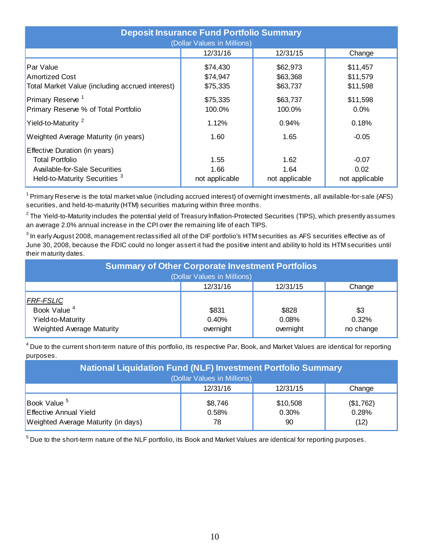| <b>Deposit Insurance Fund Portfolio Summary</b><br>(Dollar Values in Millions)                                                       |                                  |                                  |                                   |  |  |  |  |  |  |  |
|--------------------------------------------------------------------------------------------------------------------------------------|----------------------------------|----------------------------------|-----------------------------------|--|--|--|--|--|--|--|
|                                                                                                                                      | 12/31/16                         | 12/31/15                         | Change                            |  |  |  |  |  |  |  |
| Par Value<br><b>Amortized Cost</b><br>Total Market Value (including accrued interest)                                                | \$74,430<br>\$74,947<br>\$75,335 | \$62,973<br>\$63,368<br>\$63,737 | \$11,457<br>\$11,579<br>\$11,598  |  |  |  |  |  |  |  |
| Primary Reserve <sup>1</sup><br>Primary Reserve % of Total Portfolio                                                                 | \$75,335<br>100.0%               | \$63,737<br>100.0%               | \$11,598<br>$0.0\%$               |  |  |  |  |  |  |  |
| Yield-to-Maturity <sup>2</sup>                                                                                                       | 1.12%                            | 0.94%                            | 0.18%                             |  |  |  |  |  |  |  |
| Weighted Average Maturity (in years)                                                                                                 | 1.60                             | 1.65                             | $-0.05$                           |  |  |  |  |  |  |  |
| Effective Duration (in years)<br><b>Total Portfolio</b><br>Available-for-Sale Securities<br>Held-to-Maturity Securities <sup>3</sup> | 1.55<br>1.66<br>not applicable   | 1.62<br>1.64<br>not applicable   | $-0.07$<br>0.02<br>not applicable |  |  |  |  |  |  |  |

 $1$  Primary Reserve is the total market value (including accrued interest) of overnight investments, all available-for-sale (AFS) securities, and held-to-maturity (HTM) securities maturing within three months.

 $^2$ The Yield-to-Maturity includes the potential yield of Treasury Inflation-Protected Securities (TIPS), which presently assumes an average 2.0% annual increase in the CPI over the remaining life of each TIPS.

 $^3$  In early August 2008, management reclassified all of the DIF portfolio's HTM securities as AFS securities effective as of June 30, 2008, because the FDIC could no longer assert it had the positive intent and ability to hold its HTM securities until their maturity dates.

| <b>Summary of Other Corporate Investment Portfolios</b> |                             |           |           |  |  |  |  |  |  |  |  |
|---------------------------------------------------------|-----------------------------|-----------|-----------|--|--|--|--|--|--|--|--|
|                                                         | (Dollar Values in Millions) |           |           |  |  |  |  |  |  |  |  |
|                                                         | 12/31/16                    | 12/31/15  | Change    |  |  |  |  |  |  |  |  |
| <b>FRF-FSLIC</b>                                        |                             |           |           |  |  |  |  |  |  |  |  |
| Book Value <sup>4</sup>                                 | \$831                       | \$828     | \$3       |  |  |  |  |  |  |  |  |
| Yield-to-Maturity                                       | 0.40%                       | 0.08%     | 0.32%     |  |  |  |  |  |  |  |  |
| Weighted Average Maturity                               | overnight                   | overnight | no change |  |  |  |  |  |  |  |  |

 $^4$  Due to the current short-term nature of this portfolio, its respective Par, Book, and Market Values are identical for reporting purposes.

| <b>National Liquidation Fund (NLF) Investment Portfolio Summary</b>                      |                        |                         |                            |  |  |  |  |  |  |
|------------------------------------------------------------------------------------------|------------------------|-------------------------|----------------------------|--|--|--|--|--|--|
| (Dollar Values in Millions)                                                              |                        |                         |                            |  |  |  |  |  |  |
|                                                                                          | 12/31/16               | 12/31/15                | Change                     |  |  |  |  |  |  |
| Book Value <sup>5</sup><br>Effective Annual Yield<br>Weighted Average Maturity (in days) | \$8,746<br>0.58%<br>78 | \$10,508<br>0.30%<br>90 | (\$1,762)<br>0.28%<br>(12) |  |  |  |  |  |  |

 $^5$  Due to the short-term nature of the NLF portfolio, its Book and Market Values are identical for reporting purposes.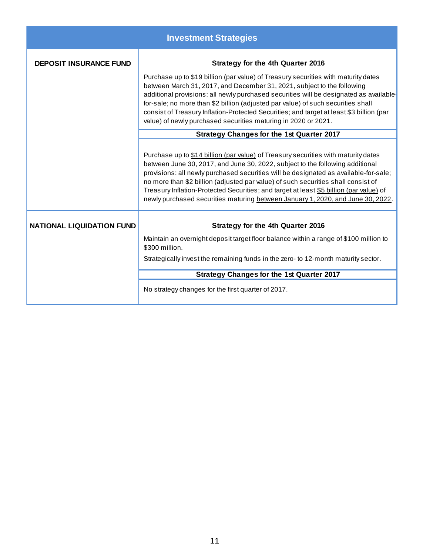|                                  | <b>Investment Strategies</b>                                                                                                                                                                                                                                                                                                                                                                                                                                                                                                   |
|----------------------------------|--------------------------------------------------------------------------------------------------------------------------------------------------------------------------------------------------------------------------------------------------------------------------------------------------------------------------------------------------------------------------------------------------------------------------------------------------------------------------------------------------------------------------------|
| <b>DEPOSIT INSURANCE FUND</b>    | Strategy for the 4th Quarter 2016                                                                                                                                                                                                                                                                                                                                                                                                                                                                                              |
|                                  | Purchase up to \$19 billion (par value) of Treasury securities with maturity dates<br>between March 31, 2017, and December 31, 2021, subject to the following<br>additional provisions: all newly purchased securities will be designated as available-<br>for-sale; no more than \$2 billion (adjusted par value) of such securities shall<br>consist of Treasury Inflation-Protected Securities; and target at least \$3 billion (par<br>value) of newly purchased securities maturing in 2020 or 2021.                      |
|                                  | <b>Strategy Changes for the 1st Quarter 2017</b>                                                                                                                                                                                                                                                                                                                                                                                                                                                                               |
|                                  | Purchase up to \$14 billion (par value) of Treasury securities with maturity dates<br>between June 30, 2017, and June 30, 2022, subject to the following additional<br>provisions: all newly purchased securities will be designated as available-for-sale;<br>no more than \$2 billion (adjusted par value) of such securities shall consist of<br>Treasury Inflation-Protected Securities; and target at least \$5 billion (par value) of<br>newly purchased securities maturing between January 1, 2020, and June 30, 2022. |
| <b>NATIONAL LIQUIDATION FUND</b> | Strategy for the 4th Quarter 2016                                                                                                                                                                                                                                                                                                                                                                                                                                                                                              |
|                                  | Maintain an overnight deposit target floor balance within a range of \$100 million to<br>\$300 million.                                                                                                                                                                                                                                                                                                                                                                                                                        |
|                                  | Strategically invest the remaining funds in the zero- to 12-month maturity sector.                                                                                                                                                                                                                                                                                                                                                                                                                                             |
|                                  | <b>Strategy Changes for the 1st Quarter 2017</b>                                                                                                                                                                                                                                                                                                                                                                                                                                                                               |
|                                  | No strategy changes for the first quarter of 2017.                                                                                                                                                                                                                                                                                                                                                                                                                                                                             |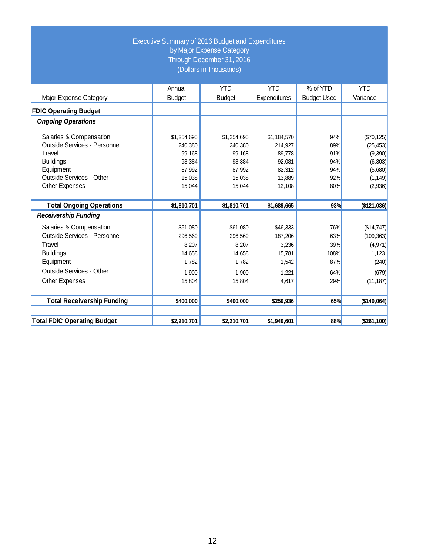# Executive Summary of 2016 Budget and Expenditures by Major Expense Category Through December 31, 2016 (Dollars in Thousands)

|                                    | Annual        | <b>YTD</b>    | <b>YTD</b>   | % of YTD           | <b>YTD</b>  |
|------------------------------------|---------------|---------------|--------------|--------------------|-------------|
| Major Expense Category             | <b>Budget</b> | <b>Budget</b> | Expenditures | <b>Budget Used</b> | Variance    |
| <b>FDIC Operating Budget</b>       |               |               |              |                    |             |
| <b>Ongoing Operations</b>          |               |               |              |                    |             |
| Salaries & Compensation            | \$1,254,695   | \$1,254,695   | \$1,184,570  | 94%                | (\$70, 125) |
| Outside Services - Personnel       | 240.380       | 240.380       | 214.927      | 89%                | (25, 453)   |
| Travel                             | 99,168        | 99,168        | 89,778       | 91%                | (9, 390)    |
| <b>Buildings</b>                   | 98,384        | 98,384        | 92.081       | 94%                | (6,303)     |
| Equipment                          | 87,992        | 87,992        | 82,312       | 94%                | (5,680)     |
| Outside Services - Other           | 15,038        | 15,038        | 13,889       | 92%                | (1, 149)    |
| Other Expenses                     | 15,044        | 15,044        | 12,108       | 80%                | (2,936)     |
|                                    |               |               |              |                    |             |
| <b>Total Ongoing Operations</b>    | \$1,810,701   | \$1,810,701   | \$1,689,665  | 93%                | (\$121,036) |
| <b>Receivership Funding</b>        |               |               |              |                    |             |
| Salaries & Compensation            | \$61,080      | \$61,080      | \$46,333     | 76%                | (\$14,747)  |
| Outside Services - Personnel       | 296,569       | 296,569       | 187,206      | 63%                | (109, 363)  |
| Travel                             | 8,207         | 8,207         | 3,236        | 39%                | (4, 971)    |
| <b>Buildings</b>                   | 14,658        | 14,658        | 15,781       | 108%               | 1,123       |
| Equipment                          | 1,782         | 1,782         | 1,542        | 87%                | (240)       |
| Outside Services - Other           | 1,900         | 1,900         | 1,221        | 64%                | (679)       |
| <b>Other Expenses</b>              | 15,804        | 15,804        | 4,617        | 29%                | (11, 187)   |
| <b>Total Receivership Funding</b>  | \$400,000     | \$400,000     | \$259,936    | 65%                | (\$140,064) |
|                                    |               |               |              |                    |             |
| <b>Total FDIC Operating Budget</b> | \$2,210,701   | \$2,210,701   | \$1,949,601  | 88%                | (\$261,100) |